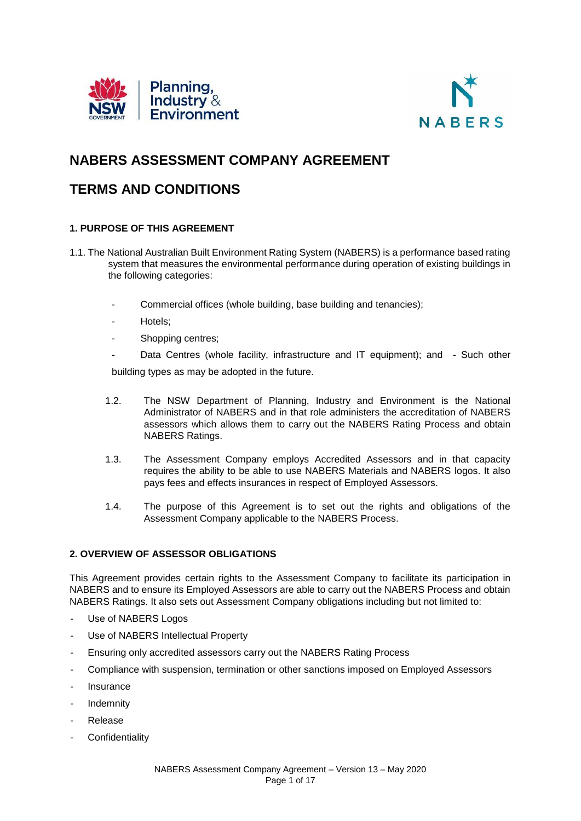



# **NABERS ASSESSMENT COMPANY AGREEMENT**

## **TERMS AND CONDITIONS**

## **1. PURPOSE OF THIS AGREEMENT**

- 1.1. The National Australian Built Environment Rating System (NABERS) is a performance based rating system that measures the environmental performance during operation of existing buildings in the following categories:
	- Commercial offices (whole building, base building and tenancies);
	- Hotels;
	- Shopping centres;
	- Data Centres (whole facility, infrastructure and IT equipment); and Such other

building types as may be adopted in the future.

- 1.2. The NSW Department of Planning, Industry and Environment is the National Administrator of NABERS and in that role administers the accreditation of NABERS assessors which allows them to carry out the NABERS Rating Process and obtain NABERS Ratings.
- 1.3. The Assessment Company employs Accredited Assessors and in that capacity requires the ability to be able to use NABERS Materials and NABERS logos. It also pays fees and effects insurances in respect of Employed Assessors.
- 1.4. The purpose of this Agreement is to set out the rights and obligations of the Assessment Company applicable to the NABERS Process.

## **2. OVERVIEW OF ASSESSOR OBLIGATIONS**

This Agreement provides certain rights to the Assessment Company to facilitate its participation in NABERS and to ensure its Employed Assessors are able to carry out the NABERS Process and obtain NABERS Ratings. It also sets out Assessment Company obligations including but not limited to:

- Use of NABERS Logos
- Use of NABERS Intellectual Property
- Ensuring only accredited assessors carry out the NABERS Rating Process
- Compliance with suspension, termination or other sanctions imposed on Employed Assessors
- **Insurance**
- **Indemnity**
- **Release**
- **Confidentiality**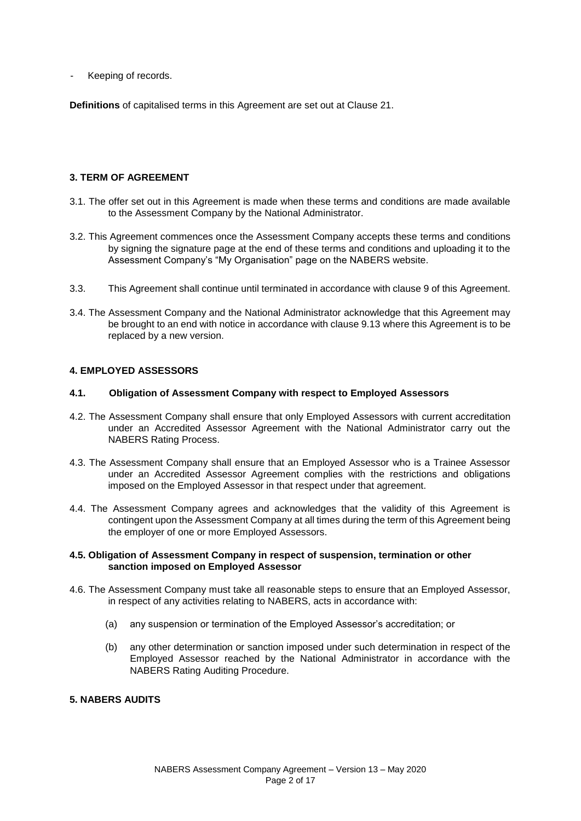Keeping of records.

**Definitions** of capitalised terms in this Agreement are set out at Clause 21.

## **3. TERM OF AGREEMENT**

- 3.1. The offer set out in this Agreement is made when these terms and conditions are made available to the Assessment Company by the National Administrator.
- 3.2. This Agreement commences once the Assessment Company accepts these terms and conditions by signing the signature page at the end of these terms and conditions and uploading it to the Assessment Company's "My Organisation" page on the NABERS website.
- 3.3. This Agreement shall continue until terminated in accordance with clause 9 of this Agreement.
- 3.4. The Assessment Company and the National Administrator acknowledge that this Agreement may be brought to an end with notice in accordance with clause 9.13 where this Agreement is to be replaced by a new version.

#### **4. EMPLOYED ASSESSORS**

#### **4.1. Obligation of Assessment Company with respect to Employed Assessors**

- 4.2. The Assessment Company shall ensure that only Employed Assessors with current accreditation under an Accredited Assessor Agreement with the National Administrator carry out the NABERS Rating Process.
- 4.3. The Assessment Company shall ensure that an Employed Assessor who is a Trainee Assessor under an Accredited Assessor Agreement complies with the restrictions and obligations imposed on the Employed Assessor in that respect under that agreement.
- 4.4. The Assessment Company agrees and acknowledges that the validity of this Agreement is contingent upon the Assessment Company at all times during the term of this Agreement being the employer of one or more Employed Assessors.

#### **4.5. Obligation of Assessment Company in respect of suspension, termination or other sanction imposed on Employed Assessor**

- 4.6. The Assessment Company must take all reasonable steps to ensure that an Employed Assessor, in respect of any activities relating to NABERS, acts in accordance with:
	- (a) any suspension or termination of the Employed Assessor's accreditation; or
	- (b) any other determination or sanction imposed under such determination in respect of the Employed Assessor reached by the National Administrator in accordance with the NABERS Rating Auditing Procedure.

#### **5. NABERS AUDITS**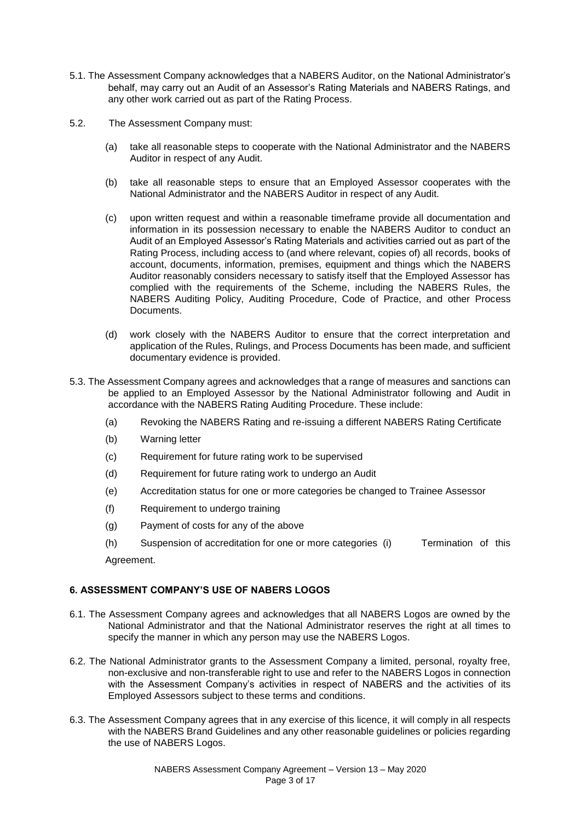- 5.1. The Assessment Company acknowledges that a NABERS Auditor, on the National Administrator's behalf, may carry out an Audit of an Assessor's Rating Materials and NABERS Ratings, and any other work carried out as part of the Rating Process.
- 5.2. The Assessment Company must:
	- (a) take all reasonable steps to cooperate with the National Administrator and the NABERS Auditor in respect of any Audit.
	- (b) take all reasonable steps to ensure that an Employed Assessor cooperates with the National Administrator and the NABERS Auditor in respect of any Audit.
	- (c) upon written request and within a reasonable timeframe provide all documentation and information in its possession necessary to enable the NABERS Auditor to conduct an Audit of an Employed Assessor's Rating Materials and activities carried out as part of the Rating Process, including access to (and where relevant, copies of) all records, books of account, documents, information, premises, equipment and things which the NABERS Auditor reasonably considers necessary to satisfy itself that the Employed Assessor has complied with the requirements of the Scheme, including the NABERS Rules, the NABERS Auditing Policy, Auditing Procedure, Code of Practice, and other Process Documents.
	- (d) work closely with the NABERS Auditor to ensure that the correct interpretation and application of the Rules, Rulings, and Process Documents has been made, and sufficient documentary evidence is provided.
- 5.3. The Assessment Company agrees and acknowledges that a range of measures and sanctions can be applied to an Employed Assessor by the National Administrator following and Audit in accordance with the NABERS Rating Auditing Procedure. These include:
	- (a) Revoking the NABERS Rating and re-issuing a different NABERS Rating Certificate
	- (b) Warning letter
	- (c) Requirement for future rating work to be supervised
	- (d) Requirement for future rating work to undergo an Audit
	- (e) Accreditation status for one or more categories be changed to Trainee Assessor
	- (f) Requirement to undergo training
	- (g) Payment of costs for any of the above
	- (h) Suspension of accreditation for one or more categories (i) Termination of this Agreement.

# **6. ASSESSMENT COMPANY'S USE OF NABERS LOGOS**

- 6.1. The Assessment Company agrees and acknowledges that all NABERS Logos are owned by the National Administrator and that the National Administrator reserves the right at all times to specify the manner in which any person may use the NABERS Logos.
- 6.2. The National Administrator grants to the Assessment Company a limited, personal, royalty free, non-exclusive and non-transferable right to use and refer to the NABERS Logos in connection with the Assessment Company's activities in respect of NABERS and the activities of its Employed Assessors subject to these terms and conditions.
- 6.3. The Assessment Company agrees that in any exercise of this licence, it will comply in all respects with the NABERS Brand Guidelines and any other reasonable guidelines or policies regarding the use of NABERS Logos.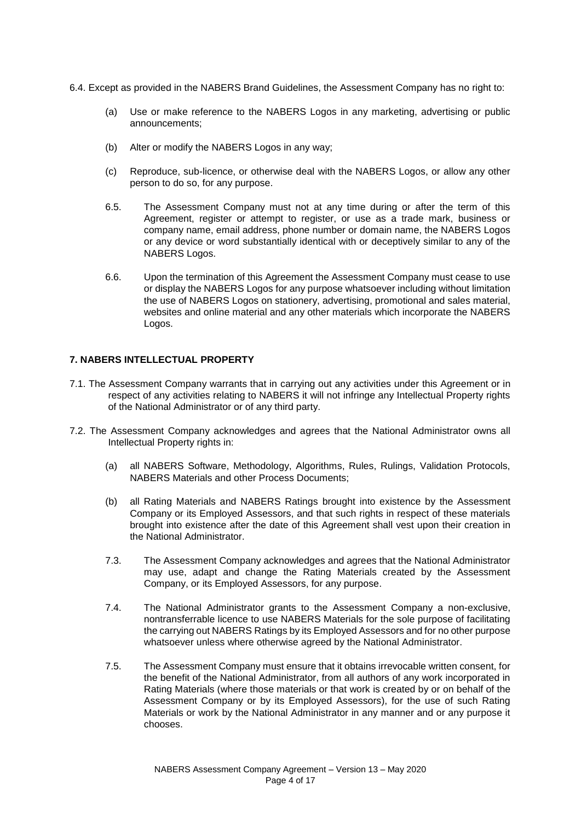- 6.4. Except as provided in the NABERS Brand Guidelines, the Assessment Company has no right to:
	- (a) Use or make reference to the NABERS Logos in any marketing, advertising or public announcements;
	- (b) Alter or modify the NABERS Logos in any way;
	- (c) Reproduce, sub-licence, or otherwise deal with the NABERS Logos, or allow any other person to do so, for any purpose.
	- 6.5. The Assessment Company must not at any time during or after the term of this Agreement, register or attempt to register, or use as a trade mark, business or company name, email address, phone number or domain name, the NABERS Logos or any device or word substantially identical with or deceptively similar to any of the NABERS Logos.
	- 6.6. Upon the termination of this Agreement the Assessment Company must cease to use or display the NABERS Logos for any purpose whatsoever including without limitation the use of NABERS Logos on stationery, advertising, promotional and sales material, websites and online material and any other materials which incorporate the NABERS Logos.

## **7. NABERS INTELLECTUAL PROPERTY**

- 7.1. The Assessment Company warrants that in carrying out any activities under this Agreement or in respect of any activities relating to NABERS it will not infringe any Intellectual Property rights of the National Administrator or of any third party.
- 7.2. The Assessment Company acknowledges and agrees that the National Administrator owns all Intellectual Property rights in:
	- (a) all NABERS Software, Methodology, Algorithms, Rules, Rulings, Validation Protocols, NABERS Materials and other Process Documents;
	- (b) all Rating Materials and NABERS Ratings brought into existence by the Assessment Company or its Employed Assessors, and that such rights in respect of these materials brought into existence after the date of this Agreement shall vest upon their creation in the National Administrator.
	- 7.3. The Assessment Company acknowledges and agrees that the National Administrator may use, adapt and change the Rating Materials created by the Assessment Company, or its Employed Assessors, for any purpose.
	- 7.4. The National Administrator grants to the Assessment Company a non-exclusive, nontransferrable licence to use NABERS Materials for the sole purpose of facilitating the carrying out NABERS Ratings by its Employed Assessors and for no other purpose whatsoever unless where otherwise agreed by the National Administrator.
	- 7.5. The Assessment Company must ensure that it obtains irrevocable written consent, for the benefit of the National Administrator, from all authors of any work incorporated in Rating Materials (where those materials or that work is created by or on behalf of the Assessment Company or by its Employed Assessors), for the use of such Rating Materials or work by the National Administrator in any manner and or any purpose it chooses.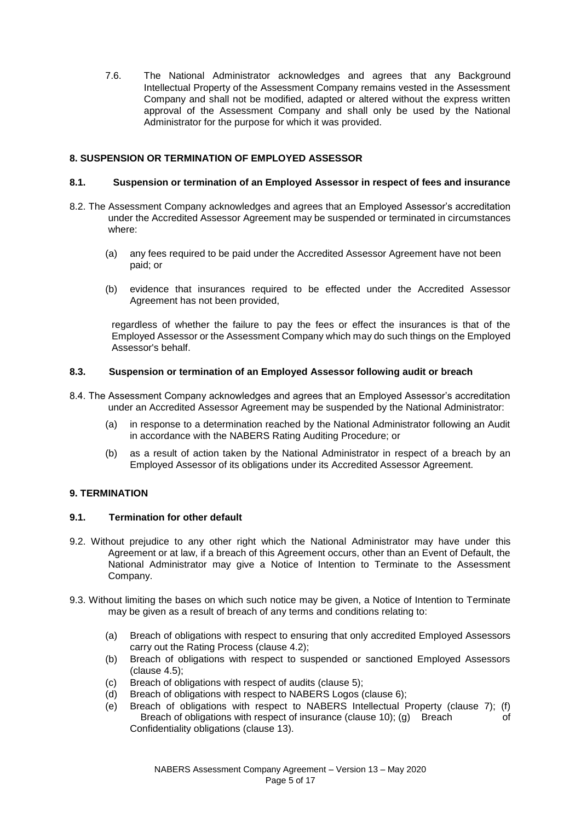7.6. The National Administrator acknowledges and agrees that any Background Intellectual Property of the Assessment Company remains vested in the Assessment Company and shall not be modified, adapted or altered without the express written approval of the Assessment Company and shall only be used by the National Administrator for the purpose for which it was provided.

## **8. SUSPENSION OR TERMINATION OF EMPLOYED ASSESSOR**

### **8.1. Suspension or termination of an Employed Assessor in respect of fees and insurance**

- 8.2. The Assessment Company acknowledges and agrees that an Employed Assessor's accreditation under the Accredited Assessor Agreement may be suspended or terminated in circumstances where:
	- (a) any fees required to be paid under the Accredited Assessor Agreement have not been paid; or
	- (b) evidence that insurances required to be effected under the Accredited Assessor Agreement has not been provided,

regardless of whether the failure to pay the fees or effect the insurances is that of the Employed Assessor or the Assessment Company which may do such things on the Employed Assessor's behalf.

#### **8.3. Suspension or termination of an Employed Assessor following audit or breach**

- 8.4. The Assessment Company acknowledges and agrees that an Employed Assessor's accreditation under an Accredited Assessor Agreement may be suspended by the National Administrator:
	- (a) in response to a determination reached by the National Administrator following an Audit in accordance with the NABERS Rating Auditing Procedure; or
	- (b) as a result of action taken by the National Administrator in respect of a breach by an Employed Assessor of its obligations under its Accredited Assessor Agreement.

## **9. TERMINATION**

#### **9.1. Termination for other default**

- 9.2. Without prejudice to any other right which the National Administrator may have under this Agreement or at law, if a breach of this Agreement occurs, other than an Event of Default, the National Administrator may give a Notice of Intention to Terminate to the Assessment Company.
- 9.3. Without limiting the bases on which such notice may be given, a Notice of Intention to Terminate may be given as a result of breach of any terms and conditions relating to:
	- (a) Breach of obligations with respect to ensuring that only accredited Employed Assessors carry out the Rating Process (clause 4.2);
	- (b) Breach of obligations with respect to suspended or sanctioned Employed Assessors (clause 4.5);
	- (c) Breach of obligations with respect of audits (clause 5);
	- (d) Breach of obligations with respect to NABERS Logos (clause 6);
	- (e) Breach of obligations with respect to NABERS Intellectual Property (clause 7); (f) Breach of obligations with respect of insurance (clause 10); (g) Breach of Confidentiality obligations (clause 13).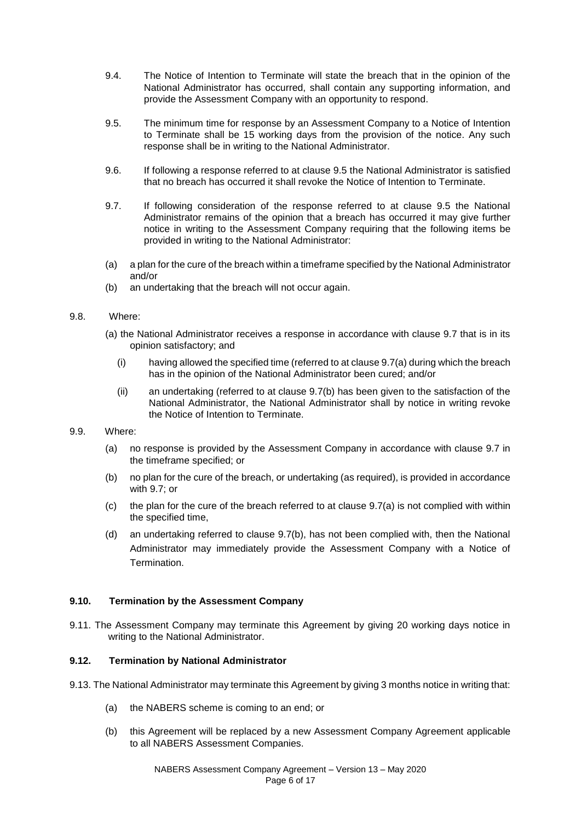- 9.4. The Notice of Intention to Terminate will state the breach that in the opinion of the National Administrator has occurred, shall contain any supporting information, and provide the Assessment Company with an opportunity to respond.
- 9.5. The minimum time for response by an Assessment Company to a Notice of Intention to Terminate shall be 15 working days from the provision of the notice. Any such response shall be in writing to the National Administrator.
- 9.6. If following a response referred to at clause 9.5 the National Administrator is satisfied that no breach has occurred it shall revoke the Notice of Intention to Terminate.
- 9.7. If following consideration of the response referred to at clause 9.5 the National Administrator remains of the opinion that a breach has occurred it may give further notice in writing to the Assessment Company requiring that the following items be provided in writing to the National Administrator:
- (a) a plan for the cure of the breach within a timeframe specified by the National Administrator and/or
- (b) an undertaking that the breach will not occur again.

## 9.8. Where:

- (a) the National Administrator receives a response in accordance with clause 9.7 that is in its opinion satisfactory; and
	- (i) having allowed the specified time (referred to at clause 9.7(a) during which the breach has in the opinion of the National Administrator been cured; and/or
	- (ii) an undertaking (referred to at clause 9.7(b) has been given to the satisfaction of the National Administrator, the National Administrator shall by notice in writing revoke the Notice of Intention to Terminate.
- 9.9. Where:
	- (a) no response is provided by the Assessment Company in accordance with clause 9.7 in the timeframe specified; or
	- (b) no plan for the cure of the breach, or undertaking (as required), is provided in accordance with 9.7; or
	- (c) the plan for the cure of the breach referred to at clause 9.7(a) is not complied with within the specified time,
	- (d) an undertaking referred to clause 9.7(b), has not been complied with, then the National Administrator may immediately provide the Assessment Company with a Notice of Termination.

## **9.10. Termination by the Assessment Company**

9.11. The Assessment Company may terminate this Agreement by giving 20 working days notice in writing to the National Administrator.

## **9.12. Termination by National Administrator**

- 9.13. The National Administrator may terminate this Agreement by giving 3 months notice in writing that:
	- (a) the NABERS scheme is coming to an end; or
	- (b) this Agreement will be replaced by a new Assessment Company Agreement applicable to all NABERS Assessment Companies.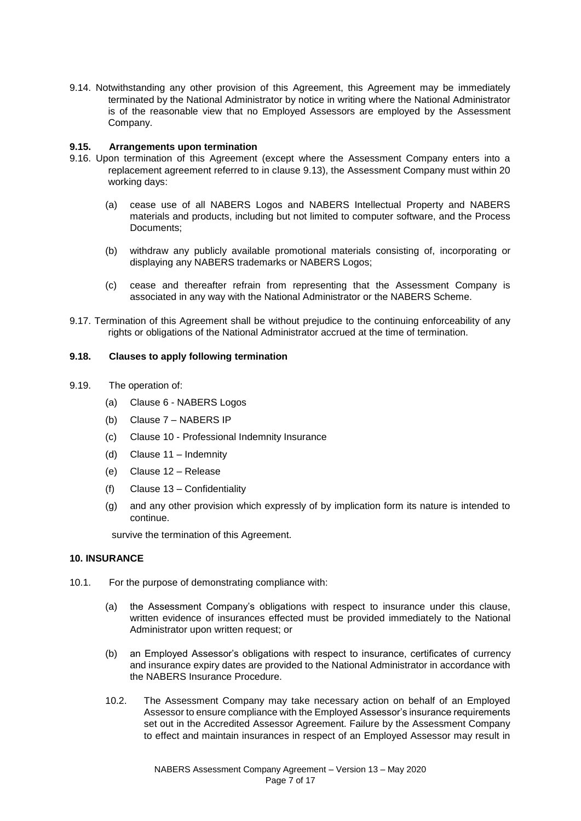9.14. Notwithstanding any other provision of this Agreement, this Agreement may be immediately terminated by the National Administrator by notice in writing where the National Administrator is of the reasonable view that no Employed Assessors are employed by the Assessment Company.

### **9.15. Arrangements upon termination**

- 9.16. Upon termination of this Agreement (except where the Assessment Company enters into a replacement agreement referred to in clause 9.13), the Assessment Company must within 20 working days:
	- (a) cease use of all NABERS Logos and NABERS Intellectual Property and NABERS materials and products, including but not limited to computer software, and the Process Documents;
	- (b) withdraw any publicly available promotional materials consisting of, incorporating or displaying any NABERS trademarks or NABERS Logos;
	- (c) cease and thereafter refrain from representing that the Assessment Company is associated in any way with the National Administrator or the NABERS Scheme.
- 9.17. Termination of this Agreement shall be without prejudice to the continuing enforceability of any rights or obligations of the National Administrator accrued at the time of termination.

#### **9.18. Clauses to apply following termination**

- 9.19. The operation of:
	- (a) Clause 6 NABERS Logos
	- (b) Clause 7 NABERS IP
	- (c) Clause 10 Professional Indemnity Insurance
	- (d) Clause 11 Indemnity
	- (e) Clause 12 Release
	- (f) Clause 13 Confidentiality
	- (g) and any other provision which expressly of by implication form its nature is intended to continue.

survive the termination of this Agreement.

#### **10. INSURANCE**

- 10.1. For the purpose of demonstrating compliance with:
	- (a) the Assessment Company's obligations with respect to insurance under this clause, written evidence of insurances effected must be provided immediately to the National Administrator upon written request; or
	- (b) an Employed Assessor's obligations with respect to insurance, certificates of currency and insurance expiry dates are provided to the National Administrator in accordance with the NABERS Insurance Procedure.
	- 10.2. The Assessment Company may take necessary action on behalf of an Employed Assessor to ensure compliance with the Employed Assessor's insurance requirements set out in the Accredited Assessor Agreement. Failure by the Assessment Company to effect and maintain insurances in respect of an Employed Assessor may result in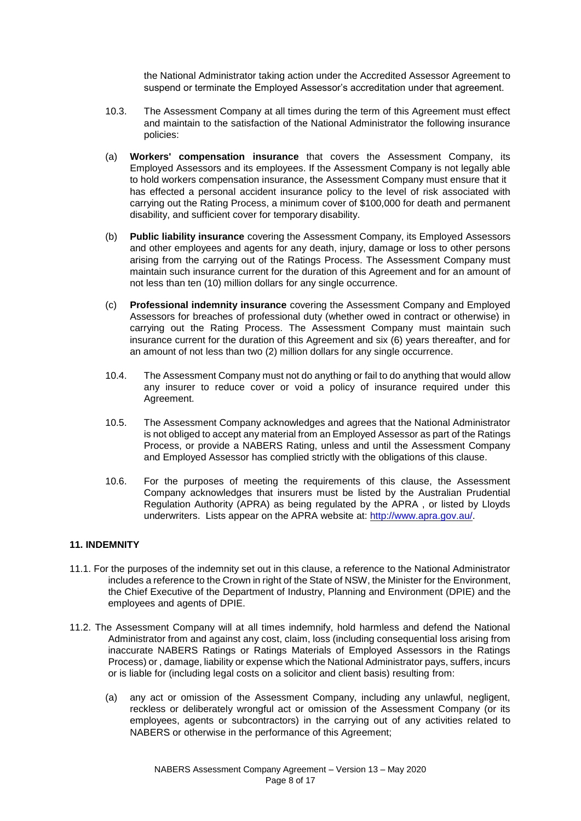the National Administrator taking action under the Accredited Assessor Agreement to suspend or terminate the Employed Assessor's accreditation under that agreement.

- 10.3. The Assessment Company at all times during the term of this Agreement must effect and maintain to the satisfaction of the National Administrator the following insurance policies:
- (a) **Workers' compensation insurance** that covers the Assessment Company, its Employed Assessors and its employees. If the Assessment Company is not legally able to hold workers compensation insurance, the Assessment Company must ensure that it has effected a personal accident insurance policy to the level of risk associated with carrying out the Rating Process, a minimum cover of \$100,000 for death and permanent disability, and sufficient cover for temporary disability.
- (b) **Public liability insurance** covering the Assessment Company, its Employed Assessors and other employees and agents for any death, injury, damage or loss to other persons arising from the carrying out of the Ratings Process. The Assessment Company must maintain such insurance current for the duration of this Agreement and for an amount of not less than ten (10) million dollars for any single occurrence.
- (c) **Professional indemnity insurance** covering the Assessment Company and Employed Assessors for breaches of professional duty (whether owed in contract or otherwise) in carrying out the Rating Process. The Assessment Company must maintain such insurance current for the duration of this Agreement and six (6) years thereafter, and for an amount of not less than two (2) million dollars for any single occurrence.
- 10.4. The Assessment Company must not do anything or fail to do anything that would allow any insurer to reduce cover or void a policy of insurance required under this Agreement.
- 10.5. The Assessment Company acknowledges and agrees that the National Administrator is not obliged to accept any material from an Employed Assessor as part of the Ratings Process, or provide a NABERS Rating, unless and until the Assessment Company and Employed Assessor has complied strictly with the obligations of this clause.
- 10.6. For the purposes of meeting the requirements of this clause, the Assessment Company acknowledges that insurers must be listed by the Australian Prudential Regulation Authority (APRA) as being regulated by the APRA , or listed by Lloyds underwriters. Lists appear on the APRA website at: http://www.apra.gov.au/.

## **11. INDEMNITY**

- 11.1. For the purposes of the indemnity set out in this clause, a reference to the National Administrator includes a reference to the Crown in right of the State of NSW, the Minister for the Environment, the Chief Executive of the Department of Industry, Planning and Environment (DPIE) and the employees and agents of DPIE.
- 11.2. The Assessment Company will at all times indemnify, hold harmless and defend the National Administrator from and against any cost, claim, loss (including consequential loss arising from inaccurate NABERS Ratings or Ratings Materials of Employed Assessors in the Ratings Process) or , damage, liability or expense which the National Administrator pays, suffers, incurs or is liable for (including legal costs on a solicitor and client basis) resulting from:
	- (a) any act or omission of the Assessment Company, including any unlawful, negligent, reckless or deliberately wrongful act or omission of the Assessment Company (or its employees, agents or subcontractors) in the carrying out of any activities related to NABERS or otherwise in the performance of this Agreement;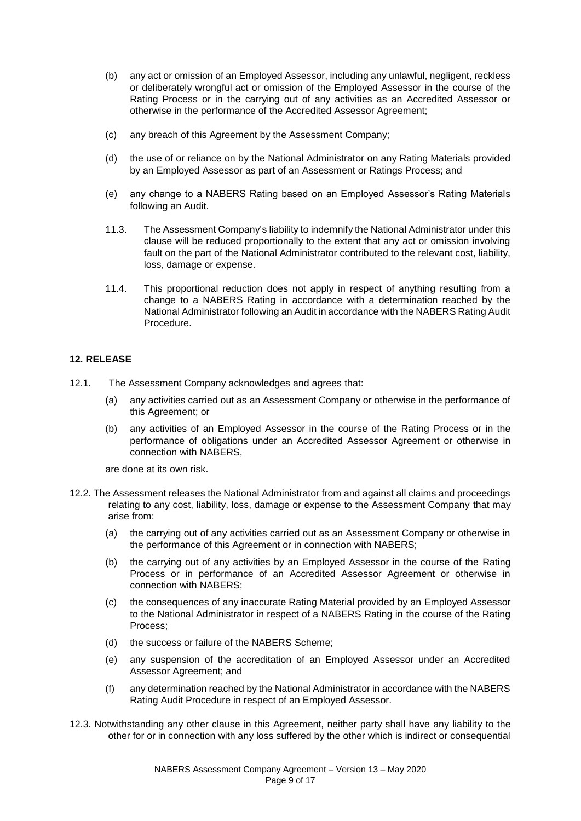- (b) any act or omission of an Employed Assessor, including any unlawful, negligent, reckless or deliberately wrongful act or omission of the Employed Assessor in the course of the Rating Process or in the carrying out of any activities as an Accredited Assessor or otherwise in the performance of the Accredited Assessor Agreement;
- (c) any breach of this Agreement by the Assessment Company;
- (d) the use of or reliance on by the National Administrator on any Rating Materials provided by an Employed Assessor as part of an Assessment or Ratings Process; and
- (e) any change to a NABERS Rating based on an Employed Assessor's Rating Materials following an Audit.
- 11.3. The Assessment Company's liability to indemnify the National Administrator under this clause will be reduced proportionally to the extent that any act or omission involving fault on the part of the National Administrator contributed to the relevant cost, liability, loss, damage or expense.
- 11.4. This proportional reduction does not apply in respect of anything resulting from a change to a NABERS Rating in accordance with a determination reached by the National Administrator following an Audit in accordance with the NABERS Rating Audit Procedure.

## **12. RELEASE**

- 12.1. The Assessment Company acknowledges and agrees that:
	- (a) any activities carried out as an Assessment Company or otherwise in the performance of this Agreement; or
	- (b) any activities of an Employed Assessor in the course of the Rating Process or in the performance of obligations under an Accredited Assessor Agreement or otherwise in connection with NABERS,

are done at its own risk.

- 12.2. The Assessment releases the National Administrator from and against all claims and proceedings relating to any cost, liability, loss, damage or expense to the Assessment Company that may arise from:
	- (a) the carrying out of any activities carried out as an Assessment Company or otherwise in the performance of this Agreement or in connection with NABERS;
	- (b) the carrying out of any activities by an Employed Assessor in the course of the Rating Process or in performance of an Accredited Assessor Agreement or otherwise in connection with NABERS;
	- (c) the consequences of any inaccurate Rating Material provided by an Employed Assessor to the National Administrator in respect of a NABERS Rating in the course of the Rating Process;
	- (d) the success or failure of the NABERS Scheme;
	- (e) any suspension of the accreditation of an Employed Assessor under an Accredited Assessor Agreement; and
	- (f) any determination reached by the National Administrator in accordance with the NABERS Rating Audit Procedure in respect of an Employed Assessor.
- 12.3. Notwithstanding any other clause in this Agreement, neither party shall have any liability to the other for or in connection with any loss suffered by the other which is indirect or consequential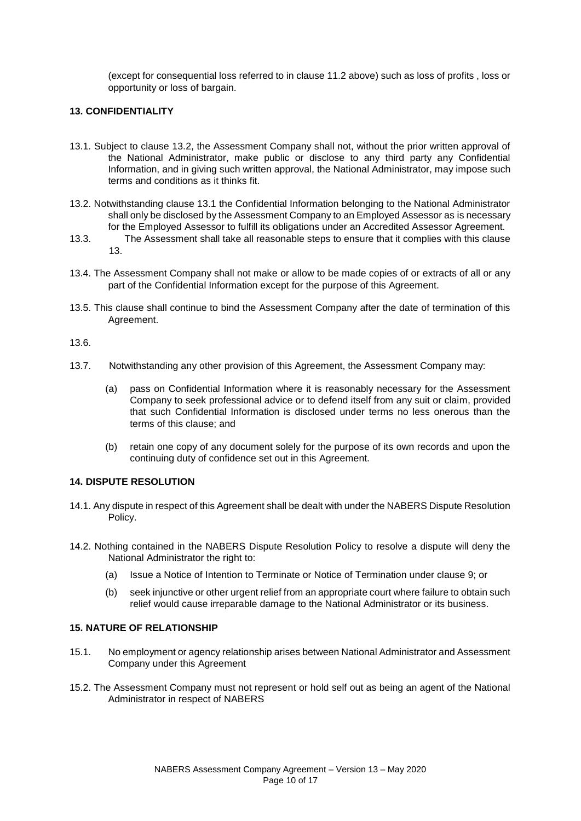(except for consequential loss referred to in clause 11.2 above) such as loss of profits , loss or opportunity or loss of bargain.

## **13. CONFIDENTIALITY**

- 13.1. Subject to clause 13.2, the Assessment Company shall not, without the prior written approval of the National Administrator, make public or disclose to any third party any Confidential Information, and in giving such written approval, the National Administrator, may impose such terms and conditions as it thinks fit.
- 13.2. Notwithstanding clause 13.1 the Confidential Information belonging to the National Administrator shall only be disclosed by the Assessment Company to an Employed Assessor as is necessary for the Employed Assessor to fulfill its obligations under an Accredited Assessor Agreement.
- 13.3. The Assessment shall take all reasonable steps to ensure that it complies with this clause 13.
- 13.4. The Assessment Company shall not make or allow to be made copies of or extracts of all or any part of the Confidential Information except for the purpose of this Agreement.
- 13.5. This clause shall continue to bind the Assessment Company after the date of termination of this Agreement.

13.6.

- 13.7. Notwithstanding any other provision of this Agreement, the Assessment Company may:
	- (a) pass on Confidential Information where it is reasonably necessary for the Assessment Company to seek professional advice or to defend itself from any suit or claim, provided that such Confidential Information is disclosed under terms no less onerous than the terms of this clause; and
	- (b) retain one copy of any document solely for the purpose of its own records and upon the continuing duty of confidence set out in this Agreement.

#### **14. DISPUTE RESOLUTION**

- 14.1. Any dispute in respect of this Agreement shall be dealt with under the NABERS Dispute Resolution Policy.
- 14.2. Nothing contained in the NABERS Dispute Resolution Policy to resolve a dispute will deny the National Administrator the right to:
	- (a) Issue a Notice of Intention to Terminate or Notice of Termination under clause 9; or
	- (b) seek injunctive or other urgent relief from an appropriate court where failure to obtain such relief would cause irreparable damage to the National Administrator or its business.

#### **15. NATURE OF RELATIONSHIP**

- 15.1. No employment or agency relationship arises between National Administrator and Assessment Company under this Agreement
- 15.2. The Assessment Company must not represent or hold self out as being an agent of the National Administrator in respect of NABERS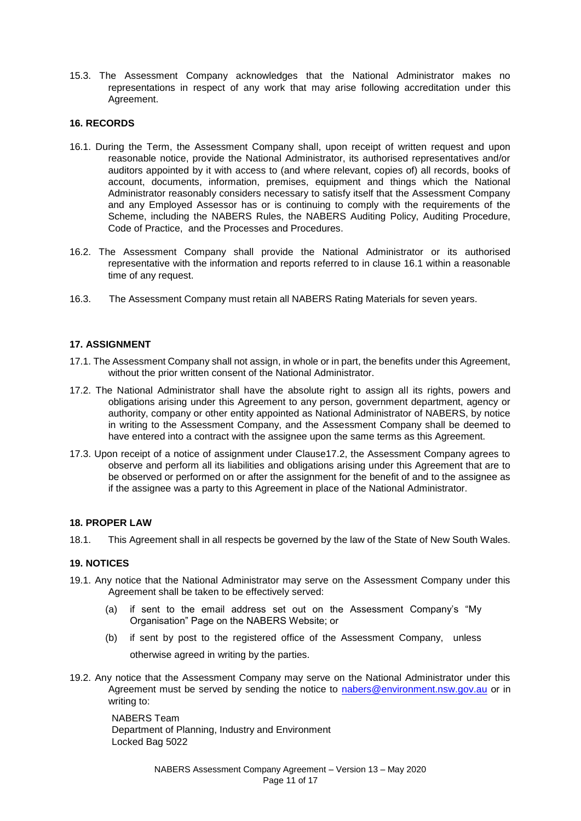15.3. The Assessment Company acknowledges that the National Administrator makes no representations in respect of any work that may arise following accreditation under this Agreement.

## **16. RECORDS**

- 16.1. During the Term, the Assessment Company shall, upon receipt of written request and upon reasonable notice, provide the National Administrator, its authorised representatives and/or auditors appointed by it with access to (and where relevant, copies of) all records, books of account, documents, information, premises, equipment and things which the National Administrator reasonably considers necessary to satisfy itself that the Assessment Company and any Employed Assessor has or is continuing to comply with the requirements of the Scheme, including the NABERS Rules, the NABERS Auditing Policy, Auditing Procedure, Code of Practice, and the Processes and Procedures.
- 16.2. The Assessment Company shall provide the National Administrator or its authorised representative with the information and reports referred to in clause 16.1 within a reasonable time of any request.
- 16.3. The Assessment Company must retain all NABERS Rating Materials for seven years.

## **17. ASSIGNMENT**

- 17.1. The Assessment Company shall not assign, in whole or in part, the benefits under this Agreement, without the prior written consent of the National Administrator.
- 17.2. The National Administrator shall have the absolute right to assign all its rights, powers and obligations arising under this Agreement to any person, government department, agency or authority, company or other entity appointed as National Administrator of NABERS, by notice in writing to the Assessment Company, and the Assessment Company shall be deemed to have entered into a contract with the assignee upon the same terms as this Agreement.
- 17.3. Upon receipt of a notice of assignment under Clause17.2, the Assessment Company agrees to observe and perform all its liabilities and obligations arising under this Agreement that are to be observed or performed on or after the assignment for the benefit of and to the assignee as if the assignee was a party to this Agreement in place of the National Administrator.

#### **18. PROPER LAW**

18.1. This Agreement shall in all respects be governed by the law of the State of New South Wales.

#### **19. NOTICES**

- 19.1. Any notice that the National Administrator may serve on the Assessment Company under this Agreement shall be taken to be effectively served:
	- (a) if sent to the email address set out on the Assessment Company's "My Organisation" Page on the NABERS Website; or
	- (b) if sent by post to the registered office of the Assessment Company, unless otherwise agreed in writing by the parties.
- 19.2. Any notice that the Assessment Company may serve on the National Administrator under this Agreement must be served by sending the notice to nabers@environment.nsw.gov.au or in writing to:

NABERS Team Department of Planning, Industry and Environment Locked Bag 5022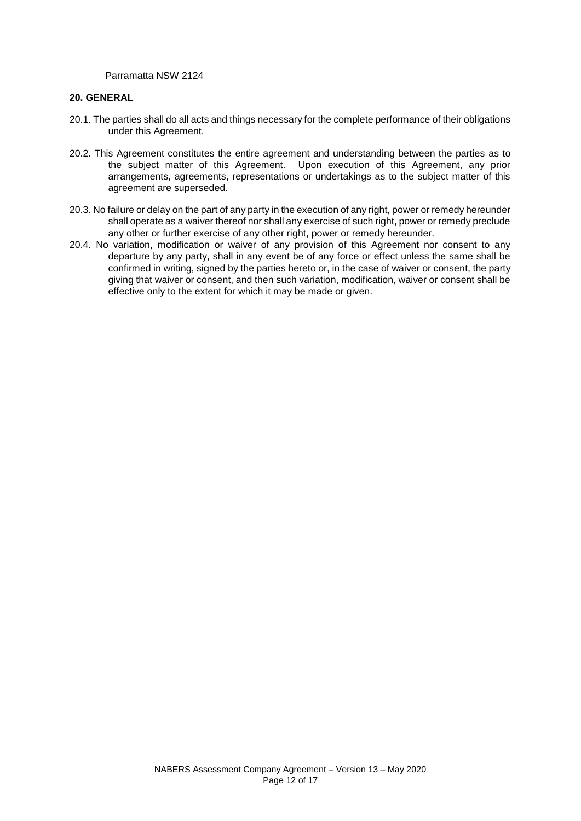Parramatta NSW 2124

#### **20. GENERAL**

- 20.1. The parties shall do all acts and things necessary for the complete performance of their obligations under this Agreement.
- 20.2. This Agreement constitutes the entire agreement and understanding between the parties as to the subject matter of this Agreement. Upon execution of this Agreement, any prior arrangements, agreements, representations or undertakings as to the subject matter of this agreement are superseded.
- 20.3. No failure or delay on the part of any party in the execution of any right, power or remedy hereunder shall operate as a waiver thereof nor shall any exercise of such right, power or remedy preclude any other or further exercise of any other right, power or remedy hereunder.
- 20.4. No variation, modification or waiver of any provision of this Agreement nor consent to any departure by any party, shall in any event be of any force or effect unless the same shall be confirmed in writing, signed by the parties hereto or, in the case of waiver or consent, the party giving that waiver or consent, and then such variation, modification, waiver or consent shall be effective only to the extent for which it may be made or given.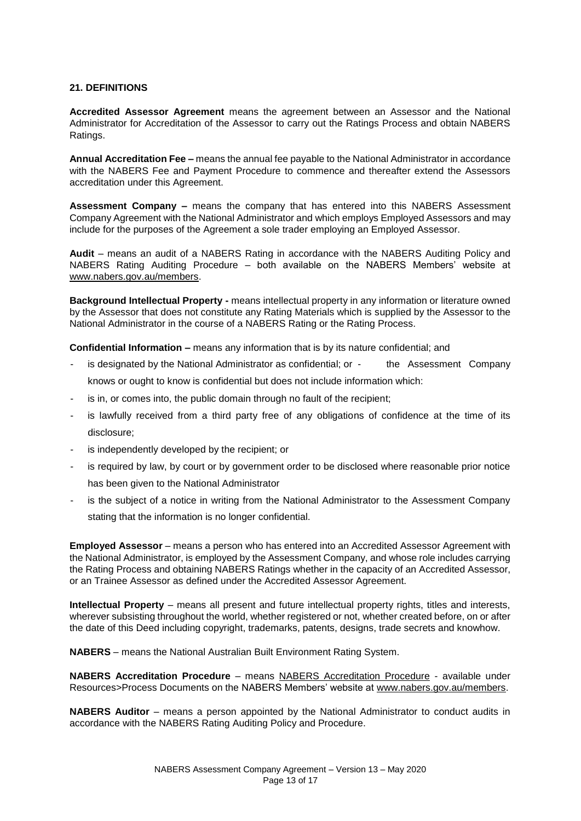## **21. DEFINITIONS**

**Accredited Assessor Agreement** means the agreement between an Assessor and the National Administrator for Accreditation of the Assessor to carry out the Ratings Process and obtain NABERS Ratings.

**Annual Accreditation Fee –** means the annual fee payable to the National Administrator in accordance with the NABERS Fee and Payment Procedure to commence and thereafter extend the Assessors accreditation under this Agreement.

**Assessment Company –** means the company that has entered into this NABERS Assessment Company Agreement with the National Administrator and which employs Employed Assessors and may include for the purposes of the Agreement a sole trader employing an Employed Assessor.

**Audit** – means an audit of a NABERS Rating in accordance with the NABERS Auditing Policy and NABERS Rating Auditing Procedure – both available on the NABERS Members' website at www.nabers.gov.au/members.

**Background Intellectual Property -** means intellectual property in any information or literature owned by the Assessor that does not constitute any Rating Materials which is supplied by the Assessor to the National Administrator in the course of a NABERS Rating or the Rating Process.

**Confidential Information –** means any information that is by its nature confidential; and

- is designated by the National Administrator as confidential; or the Assessment Company knows or ought to know is confidential but does not include information which:
- is in, or comes into, the public domain through no fault of the recipient;
- is lawfully received from a third party free of any obligations of confidence at the time of its disclosure;
- is independently developed by the recipient; or
- is required by law, by court or by government order to be disclosed where reasonable prior notice has been given to the National Administrator
- is the subject of a notice in writing from the National Administrator to the Assessment Company stating that the information is no longer confidential.

**Employed Assessor** – means a person who has entered into an Accredited Assessor Agreement with the National Administrator, is employed by the Assessment Company, and whose role includes carrying the Rating Process and obtaining NABERS Ratings whether in the capacity of an Accredited Assessor, or an Trainee Assessor as defined under the Accredited Assessor Agreement.

**Intellectual Property** – means all present and future intellectual property rights, titles and interests, wherever subsisting throughout the world, whether registered or not, whether created before, on or after the date of this Deed including copyright, trademarks, patents, designs, trade secrets and knowhow.

**NABERS** – means the National Australian Built Environment Rating System.

**NABERS Accreditation Procedure** – means NABERS Accreditation Procedure - available under Resources>Process Documents on the NABERS Members' website at www.nabers.gov.au/members.

**NABERS Auditor** – means a person appointed by the National Administrator to conduct audits in accordance with the NABERS Rating Auditing Policy and Procedure.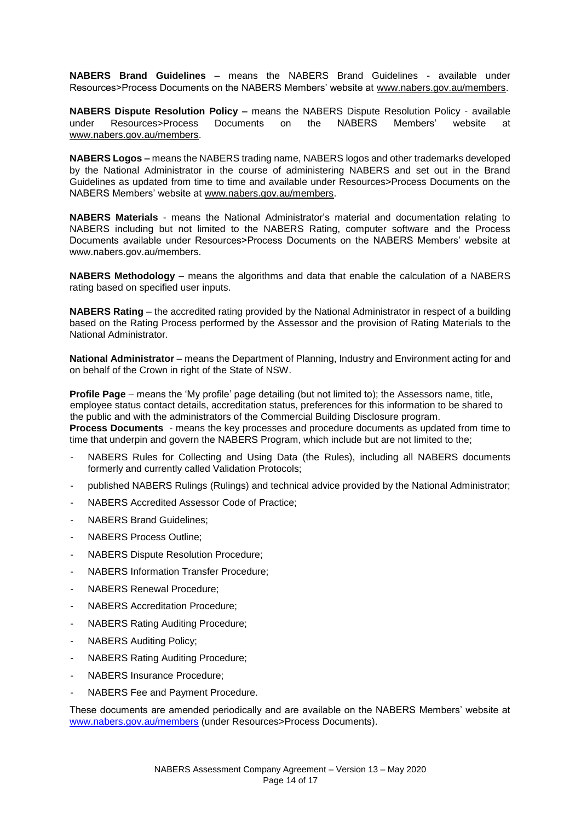**NABERS Brand Guidelines** – means the NABERS Brand Guidelines - available under Resources>Process Documents on the NABERS Members' website at www.nabers.gov.au/members.

**NABERS Dispute Resolution Policy –** means the NABERS Dispute Resolution Policy - available under Resources>Process Documents on the NABERS Members' website at www.nabers.gov.au/members.

**NABERS Logos –** means the NABERS trading name, NABERS logos and other trademarks developed by the National Administrator in the course of administering NABERS and set out in the Brand Guidelines as updated from time to time and available under Resources>Process Documents on the NABERS Members' website at www.nabers.gov.au/members.

**NABERS Materials** - means the National Administrator's material and documentation relating to NABERS including but not limited to the NABERS Rating, computer software and the Process Documents available under Resources>Process Documents on the NABERS Members' website at www.nabers.gov.au/members.

**NABERS Methodology** – means the algorithms and data that enable the calculation of a NABERS rating based on specified user inputs.

**NABERS Rating** – the accredited rating provided by the National Administrator in respect of a building based on the Rating Process performed by the Assessor and the provision of Rating Materials to the National Administrator.

**National Administrator** – means the Department of Planning, Industry and Environment acting for and on behalf of the Crown in right of the State of NSW.

**Profile Page** – means the 'My profile' page detailing (but not limited to); the Assessors name, title, employee status contact details, accreditation status, preferences for this information to be shared to the public and with the administrators of the Commercial Building Disclosure program. **Process Documents** - means the key processes and procedure documents as updated from time to time that underpin and govern the NABERS Program, which include but are not limited to the;

- NABERS Rules for Collecting and Using Data (the Rules), including all NABERS documents formerly and currently called Validation Protocols;
- published NABERS Rulings (Rulings) and technical advice provided by the National Administrator;
- NABERS Accredited Assessor Code of Practice;
- NABERS Brand Guidelines;
- NABERS Process Outline:
- NABERS Dispute Resolution Procedure;
- NABERS Information Transfer Procedure;
- NABERS Renewal Procedure;
- NABERS Accreditation Procedure;
- NABERS Rating Auditing Procedure;
- NABERS Auditing Policy;
- NABERS Rating Auditing Procedure;
- NABERS Insurance Procedure;
- NABERS Fee and Payment Procedure.

These documents are amended periodically and are available on the NABERS Members' website at www.nabers.gov.au/members (under Resources>Process Documents).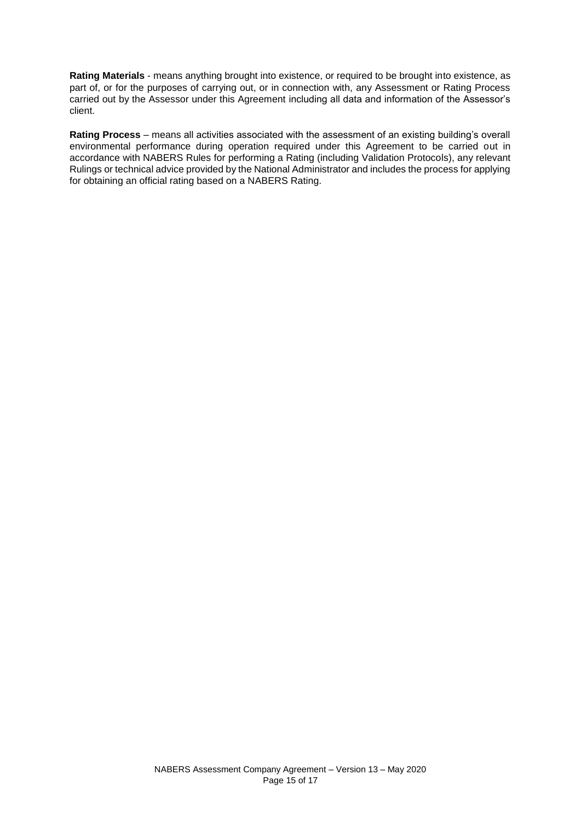**Rating Materials** - means anything brought into existence, or required to be brought into existence, as part of, or for the purposes of carrying out, or in connection with, any Assessment or Rating Process carried out by the Assessor under this Agreement including all data and information of the Assessor's client.

**Rating Process** – means all activities associated with the assessment of an existing building's overall environmental performance during operation required under this Agreement to be carried out in accordance with NABERS Rules for performing a Rating (including Validation Protocols), any relevant Rulings or technical advice provided by the National Administrator and includes the process for applying for obtaining an official rating based on a NABERS Rating.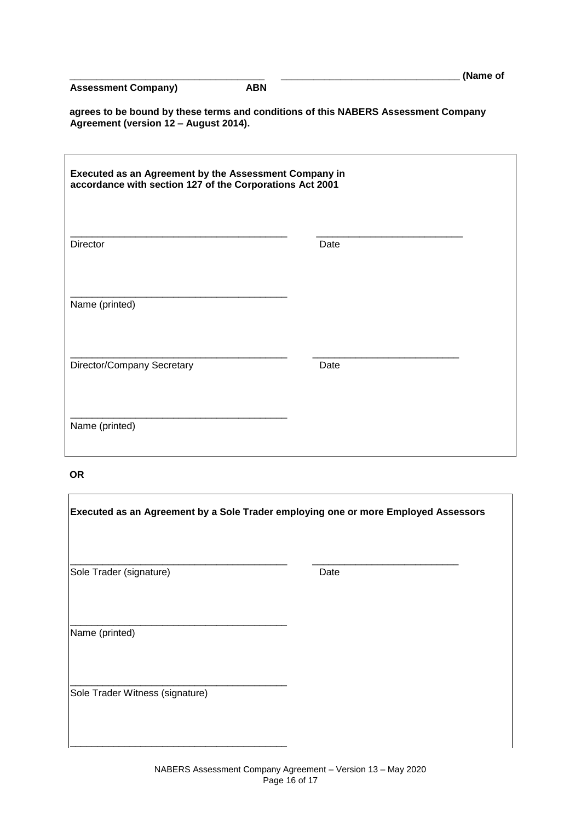|  | <b>Assessment Company)</b> |
|--|----------------------------|
|--|----------------------------|

**Assessment Company) ABN** 

**\_\_\_\_\_\_\_\_\_\_\_\_\_\_\_\_\_\_\_\_\_\_\_\_\_\_\_\_\_\_\_\_\_\_\_\_ \_\_\_\_\_\_\_\_\_\_\_\_\_\_\_\_\_\_\_\_\_\_\_\_\_\_\_\_\_\_\_\_\_ (Name of** 

**agrees to be bound by these terms and conditions of this NABERS Assessment Company Agreement (version 12 – August 2014).** 

| Executed as an Agreement by the Assessment Company in<br>accordance with section 127 of the Corporations Act 2001 |      |  |  |
|-------------------------------------------------------------------------------------------------------------------|------|--|--|
| Director                                                                                                          | Date |  |  |
| Name (printed)                                                                                                    |      |  |  |
| Director/Company Secretary                                                                                        | Date |  |  |
| Name (printed)                                                                                                    |      |  |  |

## **OR**

| Executed as an Agreement by a Sole Trader employing one or more Employed Assessors |      |  |  |  |
|------------------------------------------------------------------------------------|------|--|--|--|
| Sole Trader (signature)                                                            | Date |  |  |  |
| Name (printed)                                                                     |      |  |  |  |
| Sole Trader Witness (signature)                                                    |      |  |  |  |